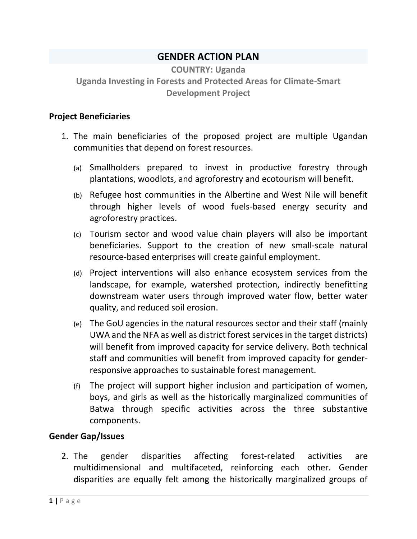# **GENDER ACTION PLAN**

**COUNTRY: Uganda Uganda Investing in Forests and Protected Areas for Climate-Smart Development Project**

#### **Project Beneficiaries**

- 1. The main beneficiaries of the proposed project are multiple Ugandan communities that depend on forest resources.
	- (a) Smallholders prepared to invest in productive forestry through plantations, woodlots, and agroforestry and ecotourism will benefit.
	- (b) Refugee host communities in the Albertine and West Nile will benefit through higher levels of wood fuels-based energy security and agroforestry practices.
	- (c) Tourism sector and wood value chain players will also be important beneficiaries. Support to the creation of new small-scale natural resource-based enterprises will create gainful employment.
	- (d) Project interventions will also enhance ecosystem services from the landscape, for example, watershed protection, indirectly benefitting downstream water users through improved water flow, better water quality, and reduced soil erosion.
	- (e) The GoU agencies in the natural resources sector and their staff (mainly UWA and the NFA as well as district forest services in the target districts) will benefit from improved capacity for service delivery. Both technical staff and communities will benefit from improved capacity for genderresponsive approaches to sustainable forest management.
	- (f) The project will support higher inclusion and participation of women, boys, and girls as well as the historically marginalized communities of Batwa through specific activities across the three substantive components.

## **Gender Gap/Issues**

2. The gender disparities affecting forest-related activities are multidimensional and multifaceted, reinforcing each other. Gender disparities are equally felt among the historically marginalized groups of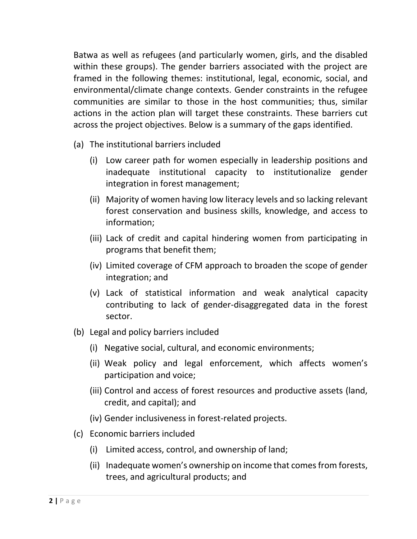Batwa as well as refugees (and particularly women, girls, and the disabled within these groups). The gender barriers associated with the project are framed in the following themes: institutional, legal, economic, social, and environmental/climate change contexts. Gender constraints in the refugee communities are similar to those in the host communities; thus, similar actions in the action plan will target these constraints. These barriers cut across the project objectives. Below is a summary of the gaps identified.

- (a) The institutional barriers included
	- (i) Low career path for women especially in leadership positions and inadequate institutional capacity to institutionalize gender integration in forest management;
	- (ii) Majority of women having low literacy levels and so lacking relevant forest conservation and business skills, knowledge, and access to information;
	- (iii) Lack of credit and capital hindering women from participating in programs that benefit them;
	- (iv) Limited coverage of CFM approach to broaden the scope of gender integration; and
	- (v) Lack of statistical information and weak analytical capacity contributing to lack of gender-disaggregated data in the forest sector.
- (b) Legal and policy barriers included
	- (i) Negative social, cultural, and economic environments;
	- (ii) Weak policy and legal enforcement, which affects women's participation and voice;
	- (iii) Control and access of forest resources and productive assets (land, credit, and capital); and
	- (iv) Gender inclusiveness in forest-related projects.
- (c) Economic barriers included
	- (i) Limited access, control, and ownership of land;
	- (ii) Inadequate women's ownership on income that comes from forests, trees, and agricultural products; and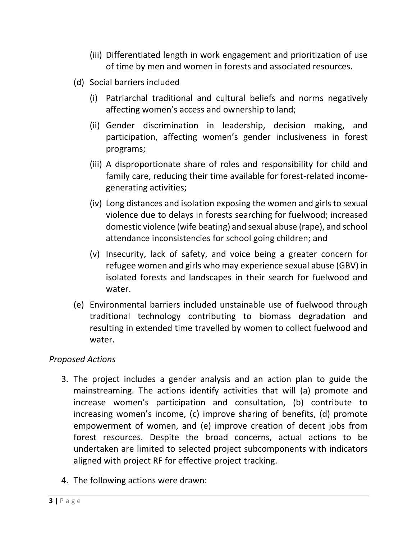- (iii) Differentiated length in work engagement and prioritization of use of time by men and women in forests and associated resources.
- (d) Social barriers included
	- (i) Patriarchal traditional and cultural beliefs and norms negatively affecting women's access and ownership to land;
	- (ii) Gender discrimination in leadership, decision making, and participation, affecting women's gender inclusiveness in forest programs;
	- (iii) A disproportionate share of roles and responsibility for child and family care, reducing their time available for forest-related incomegenerating activities;
	- (iv) Long distances and isolation exposing the women and girls to sexual violence due to delays in forests searching for fuelwood; increased domestic violence (wife beating) and sexual abuse (rape), and school attendance inconsistencies for school going children; and
	- (v) Insecurity, lack of safety, and voice being a greater concern for refugee women and girls who may experience sexual abuse (GBV) in isolated forests and landscapes in their search for fuelwood and water.
- (e) Environmental barriers included unstainable use of fuelwood through traditional technology contributing to biomass degradation and resulting in extended time travelled by women to collect fuelwood and water.

## *Proposed Actions*

- 3. The project includes a gender analysis and an action plan to guide the mainstreaming. The actions identify activities that will (a) promote and increase women's participation and consultation, (b) contribute to increasing women's income, (c) improve sharing of benefits, (d) promote empowerment of women, and (e) improve creation of decent jobs from forest resources. Despite the broad concerns, actual actions to be undertaken are limited to selected project subcomponents with indicators aligned with project RF for effective project tracking.
- 4. The following actions were drawn: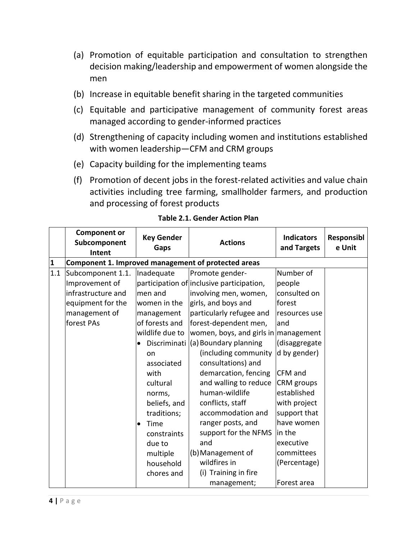- (a) Promotion of equitable participation and consultation to strengthen decision making/leadership and empowerment of women alongside the men
- (b) Increase in equitable benefit sharing in the targeted communities
- (c) Equitable and participative management of community forest areas managed according to gender-informed practices
- (d) Strengthening of capacity including women and institutions established with women leadership—CFM and CRM groups
- (e) Capacity building for the implementing teams
- (f) Promotion of decent jobs in the forest-related activities and value chain activities including tree farming, smallholder farmers, and production and processing of forest products

|              | <b>Component or</b><br>Subcomponent<br>Intent                                                                 | <b>Key Gender</b><br>Gaps                                                                                                                                  | <b>Actions</b>                                                                                                                                                                                                                                                                                                                                      | <b>Indicators</b><br>and Targets                                                                                                                       | Responsibl<br>e Unit |  |  |
|--------------|---------------------------------------------------------------------------------------------------------------|------------------------------------------------------------------------------------------------------------------------------------------------------------|-----------------------------------------------------------------------------------------------------------------------------------------------------------------------------------------------------------------------------------------------------------------------------------------------------------------------------------------------------|--------------------------------------------------------------------------------------------------------------------------------------------------------|----------------------|--|--|
| $\mathbf{1}$ | Component 1. Improved management of protected areas                                                           |                                                                                                                                                            |                                                                                                                                                                                                                                                                                                                                                     |                                                                                                                                                        |                      |  |  |
| 1.1          | Subcomponent 1.1.<br>Improvement of<br>infrastructure and<br>equipment for the<br>management of<br>forest PAs | Inadequate<br>men and<br>women in the<br>management<br>of forests and<br>wildlife due to<br>Discriminati<br>on<br>associated<br>with<br>cultural<br>norms, | Promote gender-<br>participation of inclusive participation,<br>involving men, women,<br>girls, and boys and<br>particularly refugee and<br>forest-dependent men,<br>women, boys, and girls in management<br>(a) Boundary planning<br>(including community<br>consultations) and<br>demarcation, fencing<br>and walling to reduce<br>human-wildlife | Number of<br>people<br>consulted on<br>forest<br>resources use<br>land<br>(disaggregate<br>d by gender)<br><b>CFM</b> and<br>CRM groups<br>established |                      |  |  |
|              |                                                                                                               | beliefs, and<br>traditions;<br>Time<br>constraints<br>due to<br>multiple<br>household<br>chores and                                                        | conflicts, staff<br>accommodation and<br>ranger posts, and<br>support for the NFMS<br>and<br>(b) Management of<br>wildfires in<br>(i) Training in fire<br>management;                                                                                                                                                                               | with project<br>support that<br>have women<br>lin the<br>executive<br>committees<br>(Percentage)<br>Forest area                                        |                      |  |  |

#### **Table 2.1. Gender Action Plan**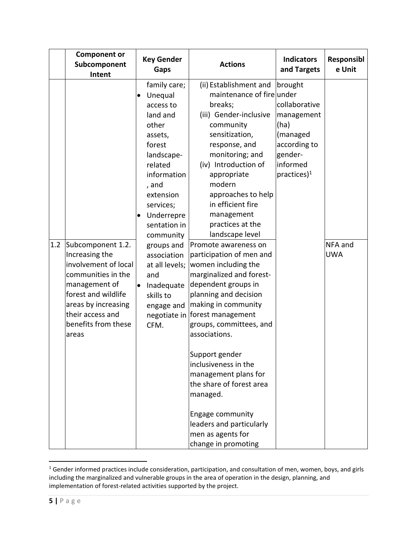| <b>Component or</b><br>Subcomponent<br>Intent                                                                                                                                                               | <b>Key Gender</b><br>Gaps                                                                                                                                                                                                                                                                                                                             | <b>Actions</b>                                                                                                                                                                                                                                                                                                                                                                                                                                                                                                                                                                                                                                                                                                                                                    | <b>Indicators</b><br>and Targets                                                                                    | Responsibl<br>e Unit  |
|-------------------------------------------------------------------------------------------------------------------------------------------------------------------------------------------------------------|-------------------------------------------------------------------------------------------------------------------------------------------------------------------------------------------------------------------------------------------------------------------------------------------------------------------------------------------------------|-------------------------------------------------------------------------------------------------------------------------------------------------------------------------------------------------------------------------------------------------------------------------------------------------------------------------------------------------------------------------------------------------------------------------------------------------------------------------------------------------------------------------------------------------------------------------------------------------------------------------------------------------------------------------------------------------------------------------------------------------------------------|---------------------------------------------------------------------------------------------------------------------|-----------------------|
| Subcomponent 1.2.<br>1.2<br>Increasing the<br>involvement of local<br>communities in the<br>management of<br>forest and wildlife<br>areas by increasing<br>their access and<br>benefits from these<br>areas | family care;<br>Unequal<br>$\bullet$<br>access to<br>land and<br>other<br>assets,<br>forest<br>landscape-<br>related<br>information<br>, and<br>extension<br>services;<br>Underrepre<br>sentation in<br>community<br>groups and<br>association<br>at all levels;<br>and<br>Inadequate<br>$\bullet$<br>skills to<br>engage and<br>negotiate in<br>CFM. | (ii) Establishment and<br>maintenance of fire under<br>breaks;<br>(iii) Gender-inclusive<br>community<br>sensitization,<br>response, and<br>monitoring; and<br>(iv) Introduction of<br>appropriate<br>modern<br>approaches to help<br>in efficient fire<br>management<br>practices at the<br>landscape level<br>Promote awareness on<br>participation of men and<br>women including the<br>marginalized and forest-<br>dependent groups in<br>planning and decision<br>making in community<br>forest management<br>groups, committees, and<br>associations.<br>Support gender<br>inclusiveness in the<br>management plans for<br>the share of forest area<br>managed.<br>Engage community<br>leaders and particularly<br>men as agents for<br>change in promoting | brought<br>collaborative<br>management<br>(ha)<br>(managed<br>according to<br>gender-<br>informed<br>practices) $1$ | NFA and<br><b>UWA</b> |

 $\overline{\phantom{a}}$  $1$  Gender informed practices include consideration, participation, and consultation of men, women, boys, and girls including the marginalized and vulnerable groups in the area of operation in the design, planning, and implementation of forest-related activities supported by the project.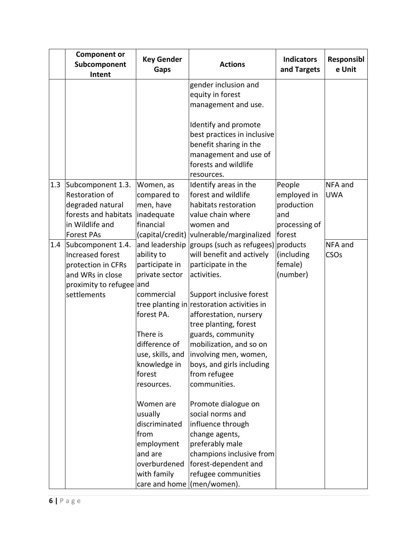|     | <b>Component or</b><br>Subcomponent<br>Intent | <b>Key Gender</b><br>Gaps  | <b>Actions</b>                               | <b>Indicators</b><br>and Targets | Responsibl<br>e Unit  |
|-----|-----------------------------------------------|----------------------------|----------------------------------------------|----------------------------------|-----------------------|
|     |                                               |                            | gender inclusion and                         |                                  |                       |
|     |                                               |                            | equity in forest                             |                                  |                       |
|     |                                               |                            | management and use.                          |                                  |                       |
|     |                                               |                            |                                              |                                  |                       |
|     |                                               |                            | Identify and promote                         |                                  |                       |
|     |                                               |                            | best practices in inclusive                  |                                  |                       |
|     |                                               |                            | benefit sharing in the                       |                                  |                       |
|     |                                               |                            | management and use of                        |                                  |                       |
|     |                                               |                            | forests and wildlife                         |                                  |                       |
|     |                                               |                            | resources.                                   |                                  |                       |
| 1.3 | Subcomponent 1.3.<br><b>Restoration of</b>    | Women, as<br>compared to   | Identify areas in the<br>forest and wildlife | People<br>employed in            | NFA and<br><b>UWA</b> |
|     | degraded natural                              | men, have                  | habitats restoration                         | production                       |                       |
|     | forests and habitats                          | inadequate                 | value chain where                            | and                              |                       |
|     | in Wildlife and                               | financial                  | women and                                    | processing of                    |                       |
|     | <b>Forest PAs</b>                             | (capital/credit)           | vulnerable/marginalized                      | forest                           |                       |
| 1.4 | Subcomponent 1.4.                             | and leadership             | groups (such as refugees) products           |                                  | NFA and               |
|     | Increased forest                              | ability to                 | will benefit and actively                    | (including                       | CSOs                  |
|     | protection in CFRs                            | participate in             | participate in the                           | female)                          |                       |
|     | and WRs in close                              | private sector             | activities.                                  | (number)                         |                       |
|     | proximity to refugee and                      |                            |                                              |                                  |                       |
|     | settlements                                   | commercial                 | Support inclusive forest                     |                                  |                       |
|     |                                               |                            | tree planting in restoration activities in   |                                  |                       |
|     |                                               | forest PA.                 | afforestation, nursery                       |                                  |                       |
|     |                                               |                            | tree planting, forest                        |                                  |                       |
|     |                                               | There is                   | guards, community                            |                                  |                       |
|     |                                               | difference of              | mobilization, and so on                      |                                  |                       |
|     |                                               | use, skills, and           | involving men, women,                        |                                  |                       |
|     |                                               | knowledge in               | boys, and girls including                    |                                  |                       |
|     |                                               | forest                     | from refugee                                 |                                  |                       |
|     |                                               | resources.                 | communities.                                 |                                  |                       |
|     |                                               | Women are                  | Promote dialogue on                          |                                  |                       |
|     |                                               | usually                    | social norms and                             |                                  |                       |
|     |                                               | discriminated              | influence through                            |                                  |                       |
|     |                                               | from                       | change agents,                               |                                  |                       |
|     |                                               | employment                 | preferably male                              |                                  |                       |
|     |                                               | and are                    | champions inclusive from                     |                                  |                       |
|     |                                               | overburdened               | forest-dependent and                         |                                  |                       |
|     |                                               | with family                | refugee communities                          |                                  |                       |
|     |                                               | care and home (men/women). |                                              |                                  |                       |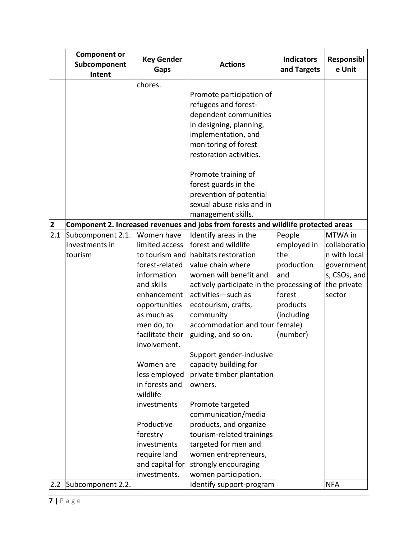|                         | <b>Component or</b><br>Subcomponent<br>Intent | <b>Key Gender</b><br><b>Gaps</b> | <b>Actions</b>                                                                     | <b>Indicators</b><br>and Targets | Responsibl<br>e Unit |
|-------------------------|-----------------------------------------------|----------------------------------|------------------------------------------------------------------------------------|----------------------------------|----------------------|
|                         |                                               | chores.                          |                                                                                    |                                  |                      |
|                         |                                               |                                  | Promote participation of                                                           |                                  |                      |
|                         |                                               |                                  | refugees and forest-                                                               |                                  |                      |
|                         |                                               |                                  | dependent communities                                                              |                                  |                      |
|                         |                                               |                                  | in designing, planning,                                                            |                                  |                      |
|                         |                                               |                                  | implementation, and                                                                |                                  |                      |
|                         |                                               |                                  | monitoring of forest                                                               |                                  |                      |
|                         |                                               |                                  | restoration activities.                                                            |                                  |                      |
|                         |                                               |                                  | Promote training of                                                                |                                  |                      |
|                         |                                               |                                  | forest guards in the                                                               |                                  |                      |
|                         |                                               |                                  | prevention of potential                                                            |                                  |                      |
|                         |                                               |                                  | sexual abuse risks and in                                                          |                                  |                      |
|                         |                                               |                                  | management skills.                                                                 |                                  |                      |
| $\overline{\mathbf{2}}$ |                                               |                                  | Component 2. Increased revenues and jobs from forests and wildlife protected areas |                                  |                      |
| 2.1                     | Subcomponent 2.1.                             | Women have                       | Identify areas in the                                                              | People                           | MTWA in              |
|                         | Investments in                                | limited access                   | forest and wildlife                                                                | employed in                      | collaboratio         |
|                         | tourism                                       | to tourism and                   | habitats restoration                                                               | the                              | n with local         |
|                         |                                               | forest-related                   | value chain where                                                                  | production                       | government           |
|                         |                                               | information                      | women will benefit and                                                             | and                              | s, CSOs, and         |
|                         |                                               | and skills                       | actively participate in the processing of                                          |                                  | the private          |
|                         |                                               | enhancement                      | activities-such as                                                                 | forest                           | sector               |
|                         |                                               | opportunities                    | ecotourism, crafts,                                                                | products                         |                      |
|                         |                                               | as much as                       | community                                                                          | (including                       |                      |
|                         |                                               | men do, to                       | accommodation and tour female)                                                     |                                  |                      |
|                         |                                               | facilitate their<br>involvement. | guiding, and so on.                                                                | (number)                         |                      |
|                         |                                               |                                  | Support gender-inclusive                                                           |                                  |                      |
|                         |                                               | Women are                        | capacity building for                                                              |                                  |                      |
|                         |                                               | less employed                    | private timber plantation                                                          |                                  |                      |
|                         |                                               | in forests and                   | owners.                                                                            |                                  |                      |
|                         |                                               | wildlife                         |                                                                                    |                                  |                      |
|                         |                                               | investments                      | Promote targeted                                                                   |                                  |                      |
|                         |                                               |                                  | communication/media                                                                |                                  |                      |
|                         |                                               | Productive                       | products, and organize                                                             |                                  |                      |
|                         |                                               | forestry                         | tourism-related trainings                                                          |                                  |                      |
|                         |                                               | investments                      | targeted for men and                                                               |                                  |                      |
|                         |                                               | require land                     | women entrepreneurs,                                                               |                                  |                      |
|                         |                                               | and capital for                  | strongly encouraging                                                               |                                  |                      |
|                         |                                               | investments.                     | women participation.                                                               |                                  |                      |
| 2.2                     | Subcomponent 2.2.                             |                                  | Identify support-program                                                           |                                  | <b>NFA</b>           |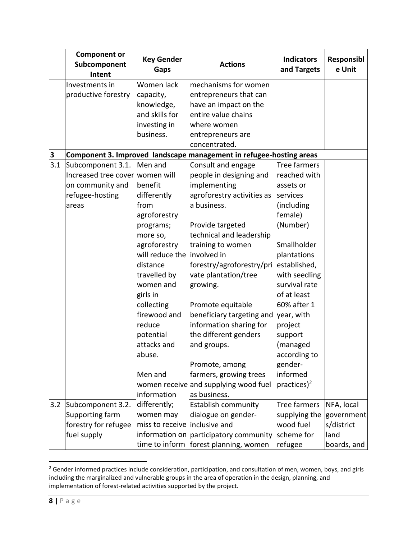|     | <b>Component or</b><br>Subcomponent<br>Intent | <b>Key Gender</b><br>Gaps   | <b>Actions</b>                                                      | <b>Indicators</b><br>and Targets | Responsibl<br>e Unit |
|-----|-----------------------------------------------|-----------------------------|---------------------------------------------------------------------|----------------------------------|----------------------|
|     | Investments in                                | Women lack                  | mechanisms for women                                                |                                  |                      |
|     | productive forestry                           | capacity,                   | entrepreneurs that can                                              |                                  |                      |
|     |                                               | knowledge,                  | have an impact on the                                               |                                  |                      |
|     |                                               | and skills for              | entire value chains                                                 |                                  |                      |
|     |                                               | investing in                | where women                                                         |                                  |                      |
|     |                                               | business.                   | entrepreneurs are                                                   |                                  |                      |
|     |                                               |                             | concentrated.                                                       |                                  |                      |
| 3   |                                               |                             | Component 3. Improved landscape management in refugee-hosting areas |                                  |                      |
| 3.1 | Subcomponent 3.1.                             | Men and                     | Consult and engage                                                  | <b>Tree farmers</b>              |                      |
|     | Increased tree cover women will               |                             | people in designing and                                             | reached with                     |                      |
|     | on community and                              | benefit                     | implementing                                                        | assets or                        |                      |
|     | refugee-hosting                               | differently                 | agroforestry activities as                                          | services                         |                      |
|     | areas                                         | from                        | a business.                                                         | (including                       |                      |
|     |                                               | agroforestry                |                                                                     | female)                          |                      |
|     |                                               | programs;                   | Provide targeted                                                    | (Number)                         |                      |
|     |                                               | more so,                    | technical and leadership                                            |                                  |                      |
|     |                                               | agroforestry                | training to women                                                   | Smallholder                      |                      |
|     |                                               | will reduce the involved in |                                                                     | plantations                      |                      |
|     |                                               | distance                    | forestry/agroforestry/pri                                           | established,                     |                      |
|     |                                               | travelled by                | vate plantation/tree                                                | with seedling                    |                      |
|     |                                               | women and                   | growing.                                                            | survival rate                    |                      |
|     |                                               | girls in                    |                                                                     | of at least                      |                      |
|     |                                               | collecting                  | Promote equitable                                                   | 60% after 1                      |                      |
|     |                                               | firewood and                | beneficiary targeting and                                           | year, with                       |                      |
|     |                                               | reduce                      | information sharing for                                             | project                          |                      |
|     |                                               | potential                   | the different genders                                               | support                          |                      |
|     |                                               | attacks and                 | and groups.                                                         | (managed                         |                      |
|     |                                               | abuse.                      |                                                                     | according to                     |                      |
|     |                                               |                             | Promote, among                                                      | gender-                          |                      |
|     |                                               | Men and                     | farmers, growing trees                                              | informed                         |                      |
|     |                                               |                             | women receive and supplying wood fuel                               | practices) <sup>2</sup>          |                      |
|     |                                               | information                 | as business.                                                        |                                  |                      |
| 3.2 | Subcomponent 3.2.                             | differently;                | <b>Establish community</b>                                          | Tree farmers                     | NFA, local           |
|     | Supporting farm                               | women may                   | dialogue on gender-                                                 | supplying the                    | government           |
|     | forestry for refugee                          | miss to receive             | inclusive and                                                       | wood fuel                        | s/district           |
|     | fuel supply                                   |                             | information on $\alpha$ participatory community scheme for          |                                  | land                 |
|     |                                               | time to inform              | forest planning, women                                              | refugee                          | boards, and          |

 $\overline{\phantom{a}}$  $2$  Gender informed practices include consideration, participation, and consultation of men, women, boys, and girls including the marginalized and vulnerable groups in the area of operation in the design, planning, and implementation of forest-related activities supported by the project.